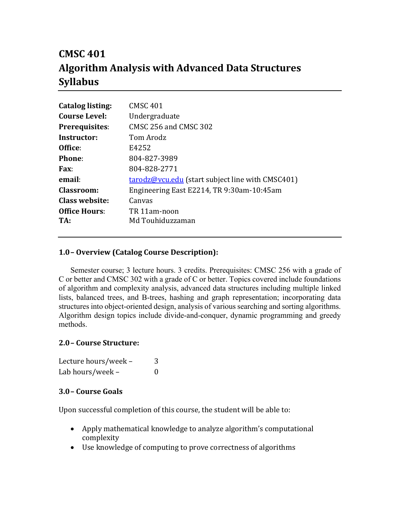# **CMSC 401 Algorithm Analysis with Advanced Data Structures Syllabus**

| <b>Catalog listing:</b> | <b>CMSC 401</b>                                  |  |  |
|-------------------------|--------------------------------------------------|--|--|
| <b>Course Level:</b>    | Undergraduate                                    |  |  |
| Prerequisites:          | CMSC 256 and CMSC 302                            |  |  |
| Instructor:             | Tom Arodz                                        |  |  |
| Office:                 | E4252                                            |  |  |
| Phone:                  | 804-827-3989                                     |  |  |
| Fax:                    | 804-828-2771                                     |  |  |
| email:                  | tarodz@vcu.edu (start subject line with CMSC401) |  |  |
| <b>Classroom:</b>       | Engineering East E2214, TR 9:30am-10:45am        |  |  |
| Class website:          | Canvas                                           |  |  |
| <b>Office Hours:</b>    | TR 11am-noon                                     |  |  |
| TA:                     | Md Touhiduzzaman                                 |  |  |
|                         |                                                  |  |  |

#### **1.0– Overview (Catalog Course Description):**

Semester course; 3 lecture hours. 3 credits. Prerequisites: CMSC 256 with a grade of C or better and CMSC 302 with a grade of C or better. Topics covered include foundations of algorithm and complexity analysis, advanced data structures including multiple linked lists, balanced trees, and B-trees, hashing and graph representation; incorporating data structures into object-oriented design, analysis of various searching and sorting algorithms. Algorithm design topics include divide-and-conquer, dynamic programming and greedy methods.

#### **2.0– Course Structure:**

| Lecture hours/week - | 3        |
|----------------------|----------|
| Lab hours/week -     | $\Omega$ |

#### **3.0– Course Goals**

Upon successful completion of this course, the student will be able to:

- Apply mathematical knowledge to analyze algorithm's computational complexity
- Use knowledge of computing to prove correctness of algorithms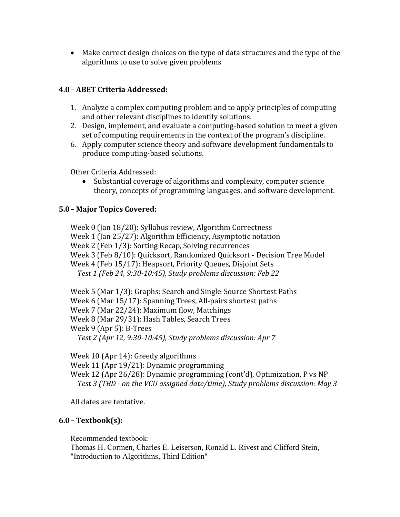• Make correct design choices on the type of data structures and the type of the algorithms to use to solve given problems

## **4.0– ABET Criteria Addressed:**

- 1. Analyze a complex computing problem and to apply principles of computing and other relevant disciplines to identify solutions.
- 2. Design, implement, and evaluate a computing-based solution to meet a given set of computing requirements in the context of the program's discipline.
- 6. Apply computer science theory and software development fundamentals to produce computing-based solutions.

Other Criteria Addressed:

• Substantial coverage of algorithms and complexity, computer science theory, concepts of programming languages, and software development.

#### **5.0– Major Topics Covered:**

Week 0 (Jan 18/20): Syllabus review, Algorithm Correctness Week 1 (Jan 25/27): Algorithm Efficiency, Asymptotic notation Week 2 (Feb 1/3): Sorting Recap, Solving recurrences Week 3 (Feb 8/10): Quicksort, Randomized Quicksort - Decision Tree Model Week 4 (Feb 15/17): Heapsort, Priority Queues, Disjoint Sets *Test 1 (Feb 24, 9:30-10:45), Study problems discussion: Feb 22*

Week 5 (Mar 1/3): Graphs: Search and Single-Source Shortest Paths

Week 6 (Mar 15/17): Spanning Trees, All-pairs shortest paths

Week 7 (Mar 22/24): Maximum flow, Matchings

Week 8 (Mar 29/31): Hash Tables, Search Trees

Week 9 (Apr 5): B-Trees

Test 2 (Apr 12, 9:30-10:45), Study problems discussion: Apr 7

Week 10 (Apr 14): Greedy algorithms

Week 11 (Apr 19/21): Dynamic programming

Week 12 (Apr 26/28): Dynamic programming (cont'd), Optimization, P vs NP *Test 3 (TBD - on the VCU assigned date/time), Study problems discussion: May 3*

All dates are tentative.

#### **6.0– Textbook(s):**

Recommended textbook:

Thomas H. Cormen, Charles E. Leiserson, Ronald L. Rivest and Clifford Stein, "Introduction to Algorithms, Third Edition"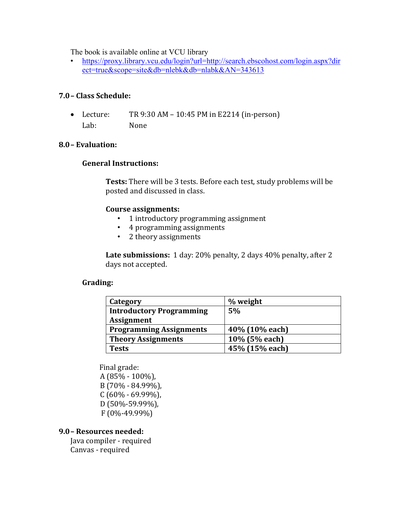The book is available online at VCU library

• https://proxy.library.vcu.edu/login?url=http://search.ebscohost.com/login.aspx?dir ect=true&scope=site&db=nlebk&db=nlabk&AN=343613

#### **7.0– Class Schedule:**

• Lecture: TR 9:30 AM – 10:45 PM in E2214 (in-person) Lab: None

#### **8.0– Evaluation:**

#### **General Instructions:**

**Tests:** There will be 3 tests. Before each test, study problems will be posted and discussed in class.

#### **Course assignments:**

- 1 introductory programming assignment
- $\cdot$  4 programming assignments
- 2 theory assignments

Late submissions: 1 day: 20% penalty, 2 days 40% penalty, after 2 days not accepted.

#### **Grading:**

| Category                        | % weight       |
|---------------------------------|----------------|
| <b>Introductory Programming</b> | 5%             |
| <b>Assignment</b>               |                |
| <b>Programming Assignments</b>  | 40% (10% each) |
| <b>Theory Assignments</b>       | 10% (5% each)  |
| <b>Tests</b>                    | 45% (15% each) |

Final grade: A (85% - 100%), B (70% - 84.99%),  $C(60\% - 69.99\%),$  D (50%-59.99%),  $F(0\% - 49.99\%)$ 

## **9.0– Resources needed:**

Java compiler - required Canvas - required